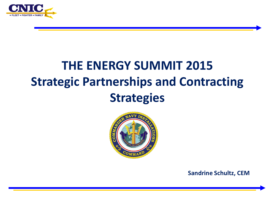

## **THE ENERGY SUMMIT 2015 Strategic Partnerships and Contracting Strategies**



**Sandrine Schultz, CEM**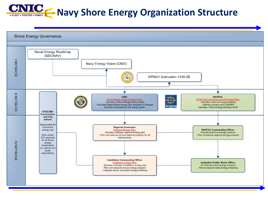## **CINIC Navy Shore Energy Organization Structure**

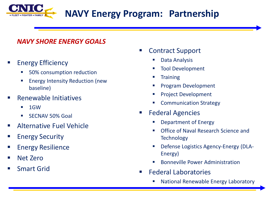

#### *NAVY SHORE ENERGY GOALS*

#### Energy Efficiency

- 50% consumption reduction
- Energy Intensity Reduction (new baseline)
- Renewable Initiatives
	- 1GW
	- SECNAV 50% Goal
- Alternative Fuel Vehicle
- **Energy Security**
- **Energy Resilience**
- Net Zero
- Smart Grid
- Contract Support
	- **Data Analysis**
	- Tool Development
	- **Training**
	- Program Development
	- Project Development
	- **EXECOMMUNICATION Strategy**
- Federal Agencies
	- Department of Energy
	- Office of Naval Research Science and **Technology**
	- Defense Logistics Agency-Energy (DLA-Energy)
	- Bonneville Power Administration
- Federal Laboratories
	- National Renewable Energy Laboratory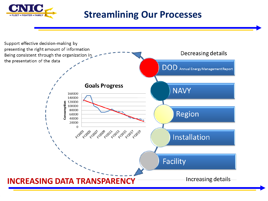

### **Streamlining Our Processes**

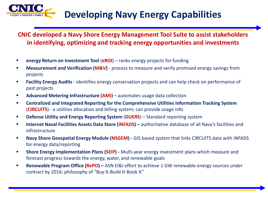

**CNIC developed a Navy Shore Energy Management Tool Suite to assist stakeholders in identifying, optimizing and tracking energy opportunities and investments**

- **EXECTE: energy Return on Investment Tool (eROI)** ranks energy projects for funding
- **Measurement and Verification (M&V)** process to measure and verify promised energy savings from projects
- **Facility Energy Audits** identifies energy conservation projects and can help check on performance of past projects
- **Advanced Metering Infrastructure (AMI)** automates usage data collection
- **Centralized and Integrated Reporting for the Comprehensive Utilities Information Tracking System**  (**CIRCUITS**) - a utilities allocation and billing system; can provide usage info
- **Defense Utility and Energy Reporting System** (**DUERS**) Standard reporting system
- **Internet Naval Facilities Assets Data Store (iNFADS) authoritative database of all Navy's facilities and** infrastructure
- **Navy Shore Geospatial Energy Module (NSGEM)** GIS based system that links CIRCUITS data with iNFADS for energy data/reporting
- **Shore Energy Implementation Plans (SEIP)** Multi-year energy investment plans which measure and forecast progress towards the energy, water, and renewable goals
- **Renewable Program Office (RePO) ASN EI&I effort to achieve 1 GW renewable energy sources under** contract by 2016; philosophy of "Buy It-Build It-Book It"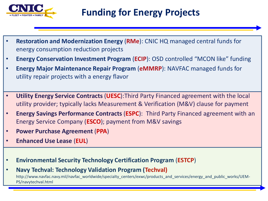

- **Restoration and Modernization Energy** (**RMe**): CNIC HQ managed central funds for energy consumption reduction projects
- **Energy Conservation Investment Program** (**ECIP**): OSD controlled "MCON like" funding
- **Energy Major Maintenance Repair Program** (**eMMRP**): NAVFAC managed funds for utility repair projects with a energy flavor
- **Utility Energy Service Contracts** (**UESC**):Third Party Financed agreement with the local utility provider; typically lacks Measurement & Verification (M&V) clause for payment
- **Energy Savings Performance Contracts** (**ESPC**): Third Party Financed agreement with an Energy Service Company (**ESCO**); payment from M&V savings
- **Power Purchase Agreement** (**PPA**)
- **Enhanced Use Lease** (**EUL**)
- **Environmental Security Technology Certification Program** (**ESTCP**)
- **Navy Techval: Technology Validation Program (Techval)**  http://www.navfac.navy.mil/navfac\_worldwide/specialty\_centers/exwc/products\_and\_services/energy\_and\_public\_works/UEM-PS/navytechval.html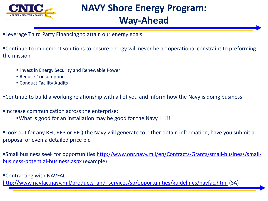

# **NAVY Shore Energy Program:**

#### **Way-Ahead**

Leverage Third Party Financing to attain our energy goals

Continue to implement solutions to ensure energy will never be an operational constraint to preforming the mission

- **Invest in Energy Security and Renewable Power**
- **Reduce Consumption**
- Conduct Facility Audits
- Continue to build a working relationship with all of you and inform how the Navy is doing business
- Increase communication across the enterprise: What is good for an installation may be good for the Navy !!!!!!

Look out for any RFI, RFP or RFQ the Navy will generate to either obtain information, have you submit a proposal or even a detailed price bid

[Small business seek for opportunities http://www.onr.navy.mil/en/Contracts-Grants/small-business/small](http://www.onr.navy.mil/en/Contracts-Grants/small-business/small-business-potential-business.aspx)business-potential-business.aspx (example)

Contracting with NAVFAC [http://www.navfac.navy.mil/products\\_and\\_services/sb/opportunities/guidelines/navfac.html](http://www.navfac.navy.mil/products_and_services/sb/opportunities/guidelines/navfac.html) (SA)